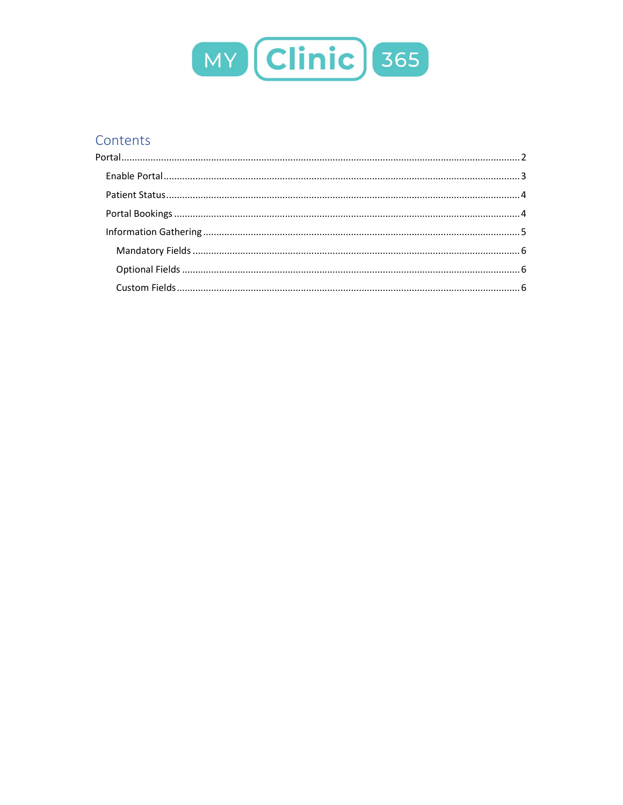

# Contents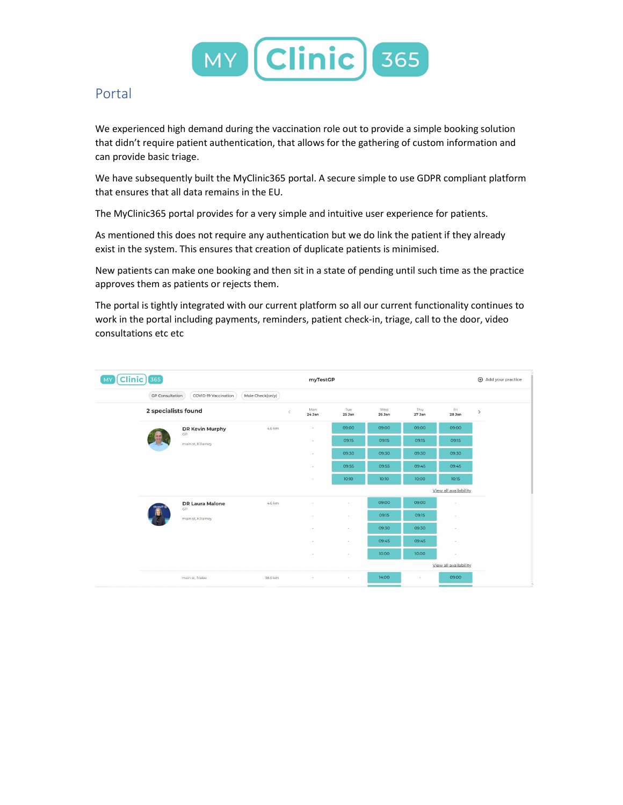

## Portal

We experienced high demand during the vaccination role out to provide a simple booking solution that didn't require patient authentication, that allows for the gathering of custom information and can provide basic triage.

We have subsequently built the MyClinic365 portal. A secure simple to use GDPR compliant platform that ensures that all data remains in the EU.

The MyClinic365 portal provides for a very simple and intuitive user experience for patients.

As mentioned this does not require any authentication but we do link the patient if they already exist in the system. This ensures that creation of duplicate patients is minimised.

New patients can make one booking and then sit in a state of pending until such time as the practice approves them as patients or rejects them.

The portal is tightly integrated with our current platform so all our current functionality continues to work in the portal including payments, reminders, patient check-in, triage, call to the door, video consultations etc etc

| $Clinic$ 365<br>M)                                                 |                     |                              | myTestGP   |                 |                          |               | Add your practice |                          |               |
|--------------------------------------------------------------------|---------------------|------------------------------|------------|-----------------|--------------------------|---------------|-------------------|--------------------------|---------------|
| Mole Check(only)<br><b>GP</b> Consultation<br>COVID-19 Vaccination |                     |                              |            |                 |                          |               |                   |                          |               |
|                                                                    | 2 specialists found |                              | $\epsilon$ | Mon<br>$24$ Jan | Tue<br>25 Jan            | Wed<br>26 Jan | Thu<br>27 Jan     | Fri<br>28 Jan            | $\rightarrow$ |
|                                                                    |                     | DR Kevin Murphy<br>GP        | 4.6 km     | o.              | 09:00                    | 09:00         | 09:00             | 09:00                    |               |
|                                                                    |                     | main st, Killarney           |            | ×               | 09:15                    | 09:15         | 09:15             | 09:15                    |               |
|                                                                    |                     |                              |            | ×,              | 09:30                    | 09:30         | 09:30             | 09:30                    |               |
|                                                                    |                     |                              |            | $\sim$          | 09:55                    | 09:55         | 09:45             | 09:45                    |               |
|                                                                    |                     |                              |            | $\sim$          | 10:10                    | 10:10         | 10:00             | 10:15                    |               |
|                                                                    |                     |                              |            |                 |                          |               |                   | View all availability.   |               |
|                                                                    |                     | <b>DR Laura Malone</b><br>GP | 4.6 km     |                 | $\sim$                   | 09:00         | 09:00             | ×                        |               |
|                                                                    |                     | main st, Killarney           |            |                 | ٠                        | 09:15         | 09:15             | $\sim$                   |               |
|                                                                    |                     |                              |            |                 | $\sim$                   | 09:30         | 09:30             | $\overline{\phantom{a}}$ |               |
|                                                                    |                     |                              |            |                 | $\sim$                   | 09:45         | 09:45             | $\sim$                   |               |
|                                                                    |                     |                              |            |                 | $\overline{\phantom{a}}$ | 10:00         | 10:00             | $\sim$                   |               |
|                                                                    |                     |                              |            |                 |                          |               |                   | View all availability    |               |
|                                                                    |                     | main st. Tralee              | 38.0 km    | ٠               | $\sim$                   | 14:00         | ÷                 | 09:00                    | ٠             |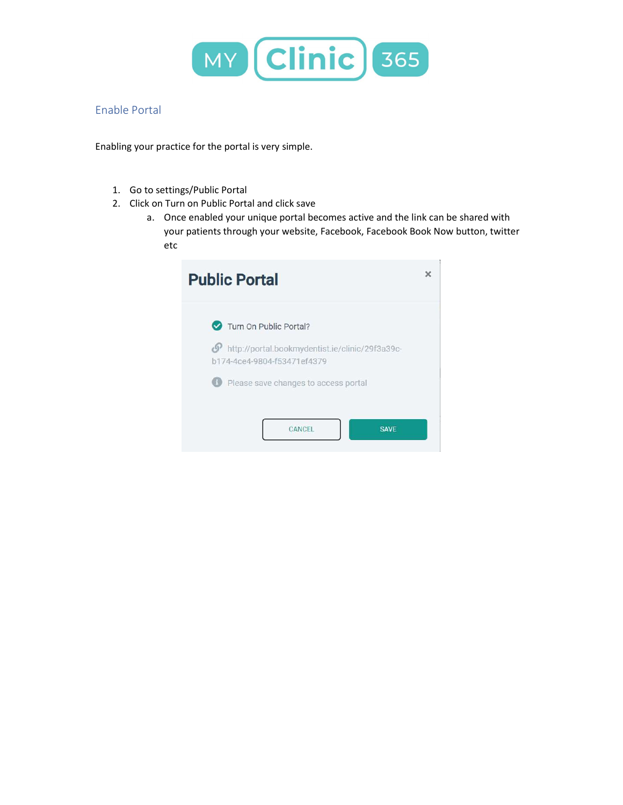

## Enable Portal

Enabling your practice for the portal is very simple.

- 1. Go to settings/Public Portal
- 2. Click on Turn on Public Portal and click save
	- a. Once enabled your unique portal becomes active and the link can be shared with your patients through your website, Facebook, Facebook Book Now button, twitter etc

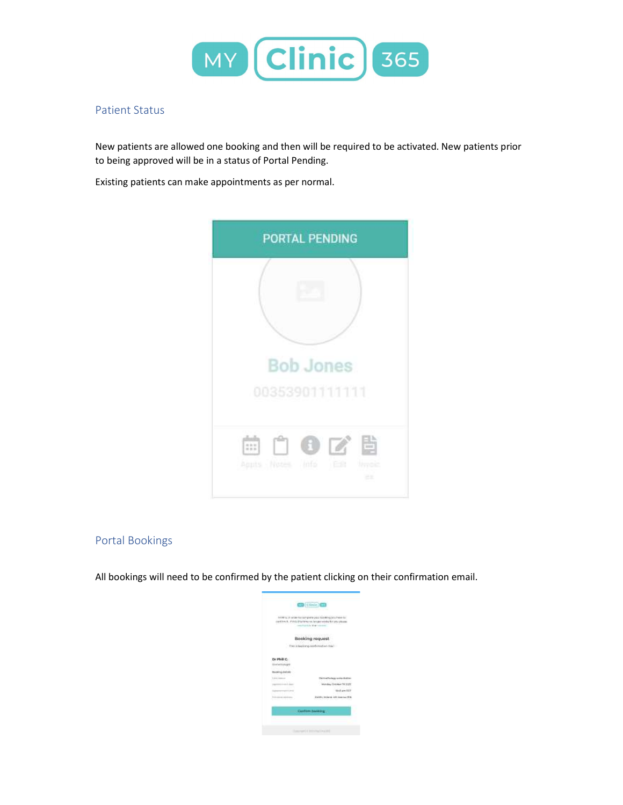

### Patient Status

New patients are allowed one booking and then will be required to be activated. New patients prior to being approved will be in a status of Portal Pending.

Existing patients can make appointments as per normal.



## Portal Bookings

All bookings will need to be confirmed by the patient clicking on their confirmation email.

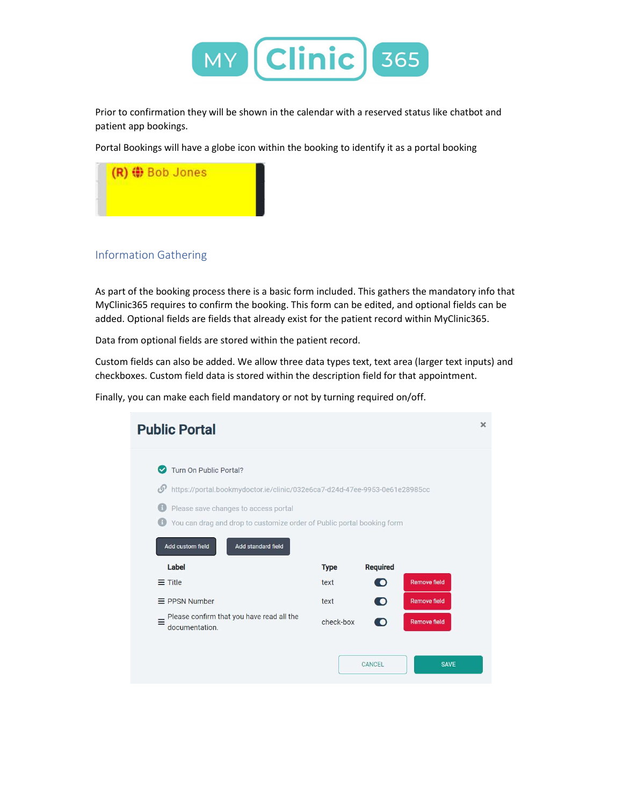

Prior to confirmation they will be shown in the calendar with a reserved status like chatbot and patient app bookings.

Portal Bookings will have a globe icon within the booking to identify it as a portal booking



## Information Gathering

As part of the booking process there is a basic form included. This gathers the mandatory info that MyClinic365 requires to confirm the booking. This form can be edited, and optional fields can be added. Optional fields are fields that already exist for the patient record within MyClinic365.

Data from optional fields are stored within the patient record.

Custom fields can also be added. We allow three data types text, text area (larger text inputs) and checkboxes. Custom field data is stored within the description field for that appointment.

Finally, you can make each field mandatory or not by turning required on/off.

| <b>Public Portal</b>                                                             |             |                 |                     | × |
|----------------------------------------------------------------------------------|-------------|-----------------|---------------------|---|
| Turn On Public Portal?<br>M                                                      |             |                 |                     |   |
| https://portal.bookmydoctor.ie/clinic/032e6ca7-d24d-47ee-9953-0e61e28985cc<br>O' |             |                 |                     |   |
| Please save changes to access portal                                             |             |                 |                     |   |
| You can drag and drop to customize order of Public portal booking form           |             |                 |                     |   |
| Add custom field<br>Add standard field                                           |             |                 |                     |   |
| Label                                                                            | <b>Type</b> | <b>Required</b> |                     |   |
| $\equiv$ Title                                                                   | text        | $\bigcirc$      | <b>Remove field</b> |   |
| $\equiv$ PPSN Number                                                             | text        | $\bullet$       | <b>Remove field</b> |   |
| Please confirm that you have read all the<br>Ξ<br>documentation.                 | check-box   | $\bullet$       | <b>Remove field</b> |   |
|                                                                                  |             | CANCEL          | <b>SAVE</b>         |   |